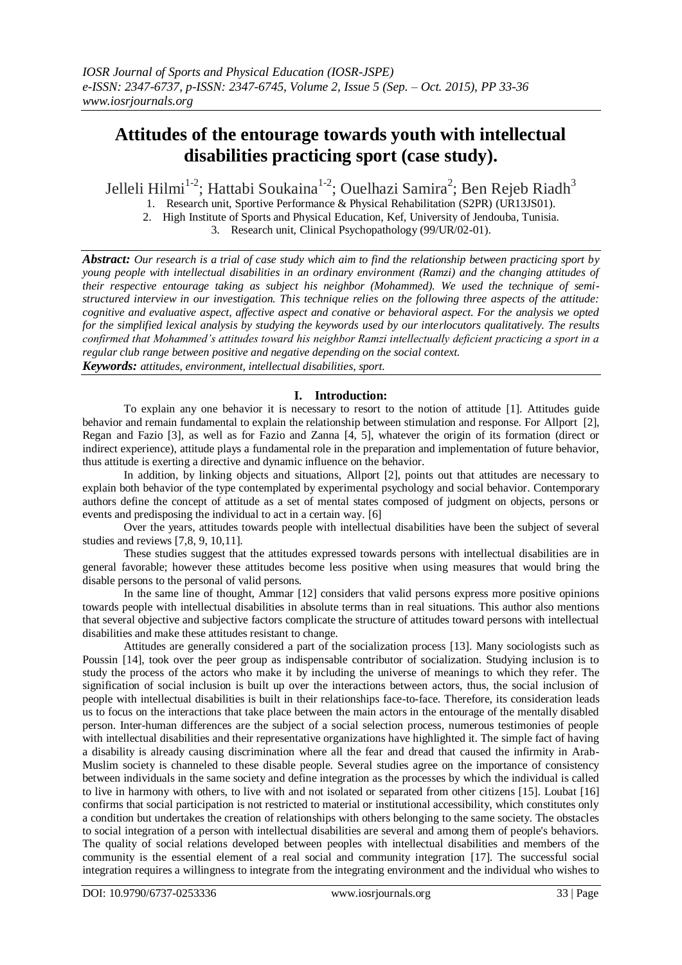# **Attitudes of the entourage towards youth with intellectual disabilities practicing sport (case study).**

Jelleli Hilmi<sup>1-2</sup>; Hattabi Soukaina<sup>1-2</sup>; Ouelhazi Samira<sup>2</sup>; Ben Rejeb Riadh<sup>3</sup>

1. Research unit, Sportive Performance & Physical Rehabilitation (S2PR) (UR13JS01).

2. High Institute of Sports and Physical Education, Kef, University of Jendouba, Tunisia.

3. Research unit, Clinical Psychopathology (99/UR/02-01).

*Abstract: Our research is a trial of case study which aim to find the relationship between practicing sport by young people with intellectual disabilities in an ordinary environment (Ramzi) and the changing attitudes of their respective entourage taking as subject his neighbor (Mohammed). We used the technique of semistructured interview in our investigation. This technique relies on the following three aspects of the attitude: cognitive and evaluative aspect, affective aspect and conative or behavioral aspect. For the analysis we opted for the simplified lexical analysis by studying the keywords used by our interlocutors qualitatively. The results confirmed that Mohammed's attitudes toward his neighbor Ramzi intellectually deficient practicing a sport in a regular club range between positive and negative depending on the social context. Keywords: attitudes, environment, intellectual disabilities, sport.*

## **I. Introduction:**

To explain any one behavior it is necessary to resort to the notion of attitude [1]. Attitudes guide behavior and remain fundamental to explain the relationship between stimulation and response. For Allport [2], Regan and Fazio [3], as well as for Fazio and Zanna [4, 5], whatever the origin of its formation (direct or indirect experience), attitude plays a fundamental role in the preparation and implementation of future behavior, thus attitude is exerting a directive and dynamic influence on the behavior.

In addition, by linking objects and situations, Allport [2], points out that attitudes are necessary to explain both behavior of the type contemplated by experimental psychology and social behavior. Contemporary authors define the concept of attitude as a set of mental states composed of judgment on objects, persons or events and predisposing the individual to act in a certain way. [6]

Over the years, attitudes towards people with intellectual disabilities have been the subject of several studies and reviews [7,8, 9, 10,11].

These studies suggest that the attitudes expressed towards persons with intellectual disabilities are in general favorable; however these attitudes become less positive when using measures that would bring the disable persons to the personal of valid persons.

In the same line of thought, Ammar [12] considers that valid persons express more positive opinions towards people with intellectual disabilities in absolute terms than in real situations. This author also mentions that several objective and subjective factors complicate the structure of attitudes toward persons with intellectual disabilities and make these attitudes resistant to change.

Attitudes are generally considered a part of the socialization process [13]. Many sociologists such as Poussin [14], took over the peer group as indispensable contributor of socialization. Studying inclusion is to study the process of the actors who make it by including the universe of meanings to which they refer. The signification of social inclusion is built up over the interactions between actors, thus, the social inclusion of people with intellectual disabilities is built in their relationships face-to-face. Therefore, its consideration leads us to focus on the interactions that take place between the main actors in the entourage of the mentally disabled person. Inter-human differences are the subject of a social selection process, numerous testimonies of people with intellectual disabilities and their representative organizations have highlighted it. The simple fact of having a disability is already causing discrimination where all the fear and dread that caused the infirmity in Arab-Muslim society is channeled to these disable people. Several studies agree on the importance of consistency between individuals in the same society and define integration as the processes by which the individual is called to live in harmony with others, to live with and not isolated or separated from other citizens [15]. Loubat [16] confirms that social participation is not restricted to material or institutional accessibility, which constitutes only a condition but undertakes the creation of relationships with others belonging to the same society. The obstacles to social integration of a person with intellectual disabilities are several and among them of people's behaviors. The quality of social relations developed between peoples with intellectual disabilities and members of the community is the essential element of a real social and community integration [17]. The successful social integration requires a willingness to integrate from the integrating environment and the individual who wishes to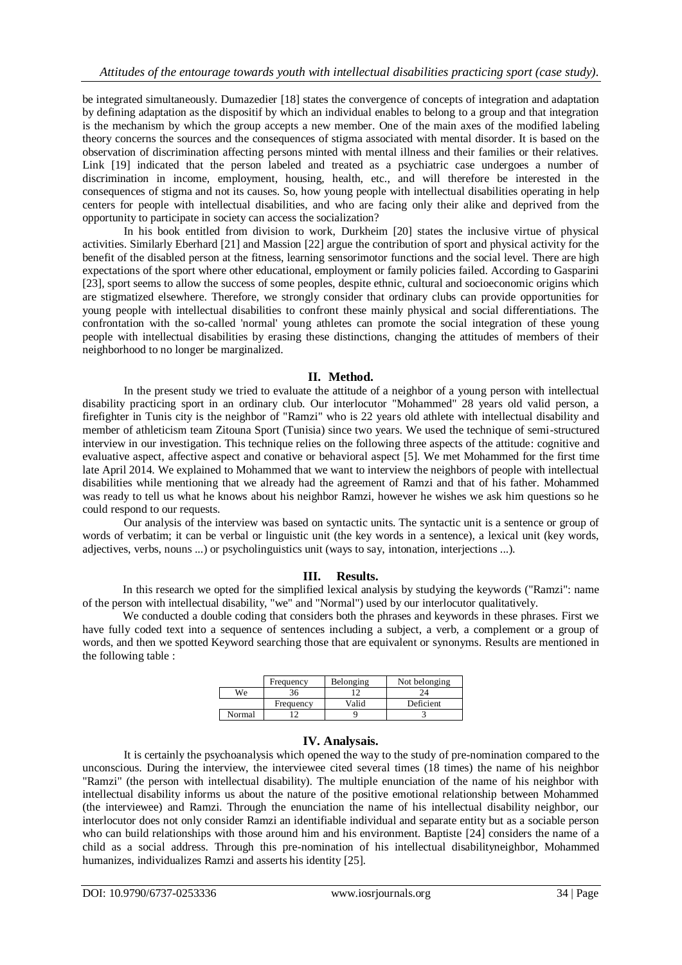be integrated simultaneously. Dumazedier [18] states the convergence of concepts of integration and adaptation by defining adaptation as the dispositif by which an individual enables to belong to a group and that integration is the mechanism by which the group accepts a new member. One of the main axes of the modified labeling theory concerns the sources and the consequences of stigma associated with mental disorder. It is based on the observation of discrimination affecting persons minted with mental illness and their families or their relatives. Link [19] indicated that the person labeled and treated as a psychiatric case undergoes a number of discrimination in income, employment, housing, health, etc., and will therefore be interested in the consequences of stigma and not its causes. So, how young people with intellectual disabilities operating in help centers for people with intellectual disabilities, and who are facing only their alike and deprived from the opportunity to participate in society can access the socialization?

In his book entitled from division to work, Durkheim [20] states the inclusive virtue of physical activities. Similarly Eberhard [21] and Massion [22] argue the contribution of sport and physical activity for the benefit of the disabled person at the fitness, learning sensorimotor functions and the social level. There are high expectations of the sport where other educational, employment or family policies failed. According to Gasparini [23], sport seems to allow the success of some peoples, despite ethnic, cultural and socioeconomic origins which are stigmatized elsewhere. Therefore, we strongly consider that ordinary clubs can provide opportunities for young people with intellectual disabilities to confront these mainly physical and social differentiations. The confrontation with the so-called 'normal' young athletes can promote the social integration of these young people with intellectual disabilities by erasing these distinctions, changing the attitudes of members of their neighborhood to no longer be marginalized.

#### **II. Method.**

In the present study we tried to evaluate the attitude of a neighbor of a young person with intellectual disability practicing sport in an ordinary club. Our interlocutor "Mohammed" 28 years old valid person, a firefighter in Tunis city is the neighbor of "Ramzi" who is 22 years old athlete with intellectual disability and member of athleticism team Zitouna Sport (Tunisia) since two years. We used the technique of semi-structured interview in our investigation. This technique relies on the following three aspects of the attitude: cognitive and evaluative aspect, affective aspect and conative or behavioral aspect [5]. We met Mohammed for the first time late April 2014. We explained to Mohammed that we want to interview the neighbors of people with intellectual disabilities while mentioning that we already had the agreement of Ramzi and that of his father. Mohammed was ready to tell us what he knows about his neighbor Ramzi, however he wishes we ask him questions so he could respond to our requests.

Our analysis of the interview was based on syntactic units. The syntactic unit is a sentence or group of words of verbatim; it can be verbal or linguistic unit (the key words in a sentence), a lexical unit (key words, adjectives, verbs, nouns ...) or psycholinguistics unit (ways to say, intonation, interjections ...).

## **III. Results.**

In this research we opted for the simplified lexical analysis by studying the keywords ("Ramzi": name of the person with intellectual disability, "we" and "Normal") used by our interlocutor qualitatively.

We conducted a double coding that considers both the phrases and keywords in these phrases. First we have fully coded text into a sequence of sentences including a subject, a verb, a complement or a group of words, and then we spotted Keyword searching those that are equivalent or synonyms. Results are mentioned in the following table :

|        | Frequency | Belonging | Not belonging |
|--------|-----------|-----------|---------------|
| We     | 36        |           |               |
|        | Frequency | Valid     | Deficient     |
| Normal |           |           |               |

#### **IV. Analysais.**

It is certainly the psychoanalysis which opened the way to the study of pre-nomination compared to the unconscious. During the interview, the interviewee cited several times (18 times) the name of his neighbor "Ramzi" (the person with intellectual disability). The multiple enunciation of the name of his neighbor with intellectual disability informs us about the nature of the positive emotional relationship between Mohammed (the interviewee) and Ramzi. Through the enunciation the name of his intellectual disability neighbor, our interlocutor does not only consider Ramzi an identifiable individual and separate entity but as a sociable person who can build relationships with those around him and his environment. Baptiste [24] considers the name of a child as a social address. Through this pre-nomination of his intellectual disabilityneighbor, Mohammed humanizes, individualizes Ramzi and asserts his identity [25].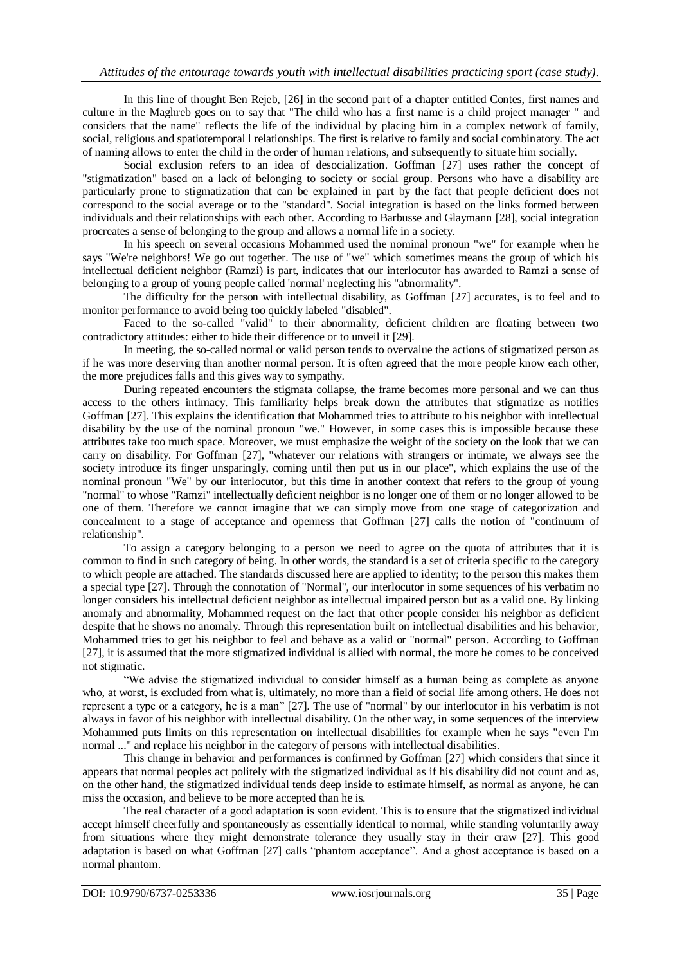In this line of thought Ben Rejeb, [26] in the second part of a chapter entitled Contes, first names and culture in the Maghreb goes on to say that "The child who has a first name is a child project manager " and considers that the name" reflects the life of the individual by placing him in a complex network of family, social, religious and spatiotemporal l relationships. The first is relative to family and social combinatory. The act of naming allows to enter the child in the order of human relations, and subsequently to situate him socially.

Social exclusion refers to an idea of desocialization. Goffman [27] uses rather the concept of "stigmatization" based on a lack of belonging to society or social group. Persons who have a disability are particularly prone to stigmatization that can be explained in part by the fact that people deficient does not correspond to the social average or to the "standard". Social integration is based on the links formed between individuals and their relationships with each other. According to Barbusse and Glaymann [28], social integration procreates a sense of belonging to the group and allows a normal life in a society.

In his speech on several occasions Mohammed used the nominal pronoun "we" for example when he says "We're neighbors! We go out together. The use of "we" which sometimes means the group of which his intellectual deficient neighbor (Ramzi) is part, indicates that our interlocutor has awarded to Ramzi a sense of belonging to a group of young people called 'normal' neglecting his "abnormality".

The difficulty for the person with intellectual disability, as Goffman [27] accurates, is to feel and to monitor performance to avoid being too quickly labeled "disabled".

Faced to the so-called "valid" to their abnormality, deficient children are floating between two contradictory attitudes: either to hide their difference or to unveil it [29].

In meeting, the so-called normal or valid person tends to overvalue the actions of stigmatized person as if he was more deserving than another normal person. It is often agreed that the more people know each other, the more prejudices falls and this gives way to sympathy.

During repeated encounters the stigmata collapse, the frame becomes more personal and we can thus access to the others intimacy. This familiarity helps break down the attributes that stigmatize as notifies Goffman [27]. This explains the identification that Mohammed tries to attribute to his neighbor with intellectual disability by the use of the nominal pronoun "we." However, in some cases this is impossible because these attributes take too much space. Moreover, we must emphasize the weight of the society on the look that we can carry on disability. For Goffman [27], "whatever our relations with strangers or intimate, we always see the society introduce its finger unsparingly, coming until then put us in our place", which explains the use of the nominal pronoun "We" by our interlocutor, but this time in another context that refers to the group of young "normal" to whose "Ramzi" intellectually deficient neighbor is no longer one of them or no longer allowed to be one of them. Therefore we cannot imagine that we can simply move from one stage of categorization and concealment to a stage of acceptance and openness that Goffman [27] calls the notion of "continuum of relationship".

To assign a category belonging to a person we need to agree on the quota of attributes that it is common to find in such category of being. In other words, the standard is a set of criteria specific to the category to which people are attached. The standards discussed here are applied to identity; to the person this makes them a special type [27]. Through the connotation of "Normal", our interlocutor in some sequences of his verbatim no longer considers his intellectual deficient neighbor as intellectual impaired person but as a valid one. By linking anomaly and abnormality, Mohammed request on the fact that other people consider his neighbor as deficient despite that he shows no anomaly. Through this representation built on intellectual disabilities and his behavior, Mohammed tries to get his neighbor to feel and behave as a valid or "normal" person. According to Goffman [27], it is assumed that the more stigmatized individual is allied with normal, the more he comes to be conceived not stigmatic.

"We advise the stigmatized individual to consider himself as a human being as complete as anyone who, at worst, is excluded from what is, ultimately, no more than a field of social life among others. He does not represent a type or a category, he is a man" [27]. The use of "normal" by our interlocutor in his verbatim is not always in favor of his neighbor with intellectual disability. On the other way, in some sequences of the interview Mohammed puts limits on this representation on intellectual disabilities for example when he says "even I'm normal ..." and replace his neighbor in the category of persons with intellectual disabilities.

This change in behavior and performances is confirmed by Goffman [27] which considers that since it appears that normal peoples act politely with the stigmatized individual as if his disability did not count and as, on the other hand, the stigmatized individual tends deep inside to estimate himself, as normal as anyone, he can miss the occasion, and believe to be more accepted than he is.

The real character of a good adaptation is soon evident. This is to ensure that the stigmatized individual accept himself cheerfully and spontaneously as essentially identical to normal, while standing voluntarily away from situations where they might demonstrate tolerance they usually stay in their craw [27]. This good adaptation is based on what Goffman [27] calls "phantom acceptance". And a ghost acceptance is based on a normal phantom.